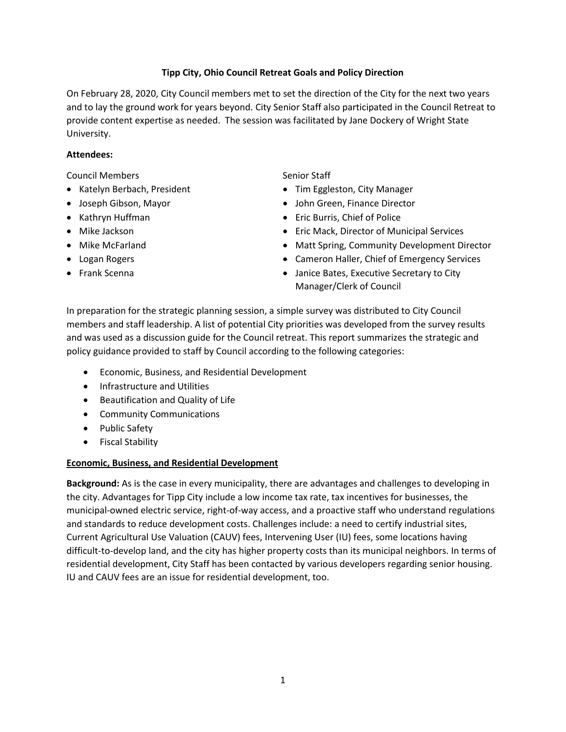### **Tipp City, Ohio Council Retreat Goals and Policy Direction**

On February 28, 2020, City Council members met to set the direction of the City for the next two years and to lay the ground work for years beyond. City Senior Staff also participated in the Council Retreat to provide content expertise as needed. The session was facilitated by Jane Dockery of Wright State University.

### **Attendees:**

Council Members

- Katelyn Berbach, President
- Joseph Gibson, Mayor
- Kathryn Huffman
- Mike Jackson
- Mike McFarland
- Logan Rogers
- Frank Scenna

Senior Staff

- Tim Eggleston, City Manager
- John Green, Finance Director
- Eric Burris, Chief of Police
- Eric Mack, Director of Municipal Services
- Matt Spring, Community Development Director
- Cameron Haller, Chief of Emergency Services
- Janice Bates, Executive Secretary to City Manager/Clerk of Council

In preparation for the strategic planning session, a simple survey was distributed to City Council members and staff leadership. A list of potential City priorities was developed from the survey results and was used as a discussion guide for the Council retreat. This report summarizes the strategic and policy guidance provided to staff by Council according to the following categories:

- Economic, Business, and Residential Development
- **•** Infrastructure and Utilities
- Beautification and Quality of Life
- Community Communications
- Public Safety
- **•** Fiscal Stability

# **Economic, Business, and Residential Development**

**Background:** As is the case in every municipality, there are advantages and challenges to developing in the city. Advantages for Tipp City include a low income tax rate, tax incentives for businesses, the municipal-owned electric service, right-of-way access, and a proactive staff who understand regulations and standards to reduce development costs. Challenges include: a need to certify industrial sites, Current Agricultural Use Valuation (CAUV) fees, Intervening User (IU) fees, some locations having difficult-to-develop land, and the city has higher property costs than its municipal neighbors. In terms of residential development, City Staff has been contacted by various developers regarding senior housing. IU and CAUV fees are an issue for residential development, too.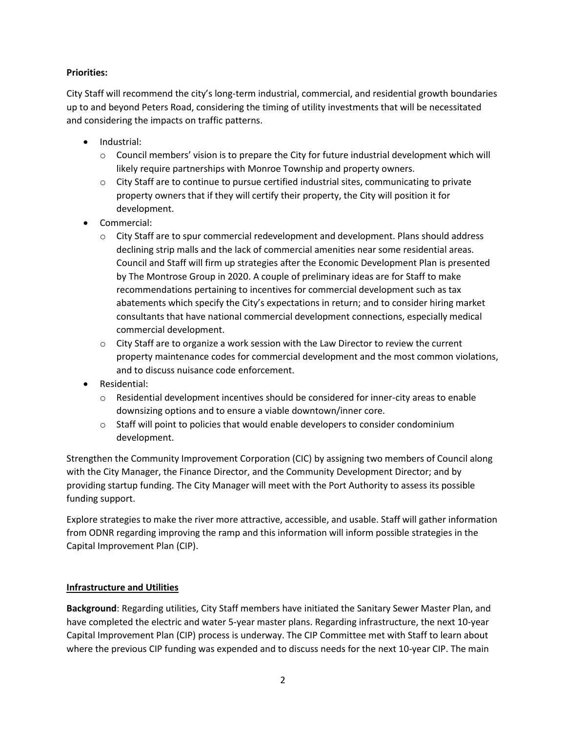### **Priorities:**

City Staff will recommend the city's long-term industrial, commercial, and residential growth boundaries up to and beyond Peters Road, considering the timing of utility investments that will be necessitated and considering the impacts on traffic patterns.

- Industrial:
	- $\circ$  Council members' vision is to prepare the City for future industrial development which will likely require partnerships with Monroe Township and property owners.
	- $\circ$  City Staff are to continue to pursue certified industrial sites, communicating to private property owners that if they will certify their property, the City will position it for development.
- Commercial:
	- $\circ$  City Staff are to spur commercial redevelopment and development. Plans should address declining strip malls and the lack of commercial amenities near some residential areas. Council and Staff will firm up strategies after the Economic Development Plan is presented by The Montrose Group in 2020. A couple of preliminary ideas are for Staff to make recommendations pertaining to incentives for commercial development such as tax abatements which specify the City's expectations in return; and to consider hiring market consultants that have national commercial development connections, especially medical commercial development.
	- $\circ$  City Staff are to organize a work session with the Law Director to review the current property maintenance codes for commercial development and the most common violations, and to discuss nuisance code enforcement.
- Residential:
	- $\circ$  Residential development incentives should be considered for inner-city areas to enable downsizing options and to ensure a viable downtown/inner core.
	- $\circ$  Staff will point to policies that would enable developers to consider condominium development.

Strengthen the Community Improvement Corporation (CIC) by assigning two members of Council along with the City Manager, the Finance Director, and the Community Development Director; and by providing startup funding. The City Manager will meet with the Port Authority to assess its possible funding support.

Explore strategies to make the river more attractive, accessible, and usable. Staff will gather information from ODNR regarding improving the ramp and this information will inform possible strategies in the Capital Improvement Plan (CIP).

### **Infrastructure and Utilities**

**Background**: Regarding utilities, City Staff members have initiated the Sanitary Sewer Master Plan, and have completed the electric and water 5-year master plans. Regarding infrastructure, the next 10-year Capital Improvement Plan (CIP) process is underway. The CIP Committee met with Staff to learn about where the previous CIP funding was expended and to discuss needs for the next 10-year CIP. The main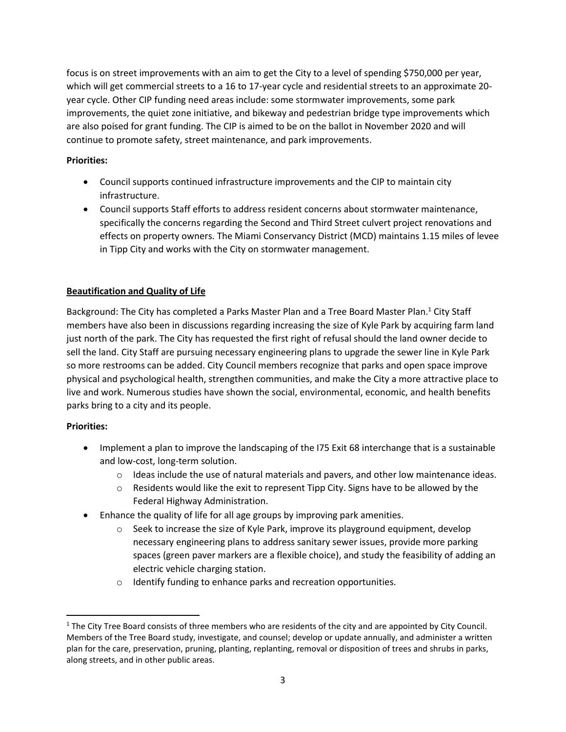focus is on street improvements with an aim to get the City to a level of spending \$750,000 per year, which will get commercial streets to a 16 to 17-year cycle and residential streets to an approximate 20 year cycle. Other CIP funding need areas include: some stormwater improvements, some park improvements, the quiet zone initiative, and bikeway and pedestrian bridge type improvements which are also poised for grant funding. The CIP is aimed to be on the ballot in November 2020 and will continue to promote safety, street maintenance, and park improvements.

### **Priorities:**

- Council supports continued infrastructure improvements and the CIP to maintain city infrastructure.
- Council supports Staff efforts to address resident concerns about stormwater maintenance, specifically the concerns regarding the Second and Third Street culvert project renovations and effects on property owners. The Miami Conservancy District (MCD) maintains 1.15 miles of levee in Tipp City and works with the City on stormwater management.

# **Beautification and Quality of Life**

Background: The City has completed a Parks Master Plan and a Tree Board Master Plan.<sup>1</sup> City Staff members have also been in discussions regarding increasing the size of Kyle Park by acquiring farm land just north of the park. The City has requested the first right of refusal should the land owner decide to sell the land. City Staff are pursuing necessary engineering plans to upgrade the sewer line in Kyle Park so more restrooms can be added. City Council members recognize that parks and open space improve physical and psychological health, strengthen communities, and make the City a more attractive place to live and work. Numerous studies have shown the social, environmental, economic, and health benefits parks bring to a city and its people.

### **Priorities:**

l

- Implement a plan to improve the landscaping of the I75 Exit 68 interchange that is a sustainable and low-cost, long-term solution.
	- $\circ$  Ideas include the use of natural materials and pavers, and other low maintenance ideas.
	- $\circ$  Residents would like the exit to represent Tipp City. Signs have to be allowed by the Federal Highway Administration.
- Enhance the quality of life for all age groups by improving park amenities.
	- $\circ$  Seek to increase the size of Kyle Park, improve its playground equipment, develop necessary engineering plans to address sanitary sewer issues, provide more parking spaces (green paver markers are a flexible choice), and study the feasibility of adding an electric vehicle charging station.
	- o Identify funding to enhance parks and recreation opportunities.

 $1$  The City Tree Board consists of three members who are residents of the city and are appointed by City Council. Members of the Tree Board study, investigate, and counsel; develop or update annually, and administer a written plan for the care, preservation, pruning, planting, replanting, removal or disposition of trees and shrubs in parks, along streets, and in other public areas.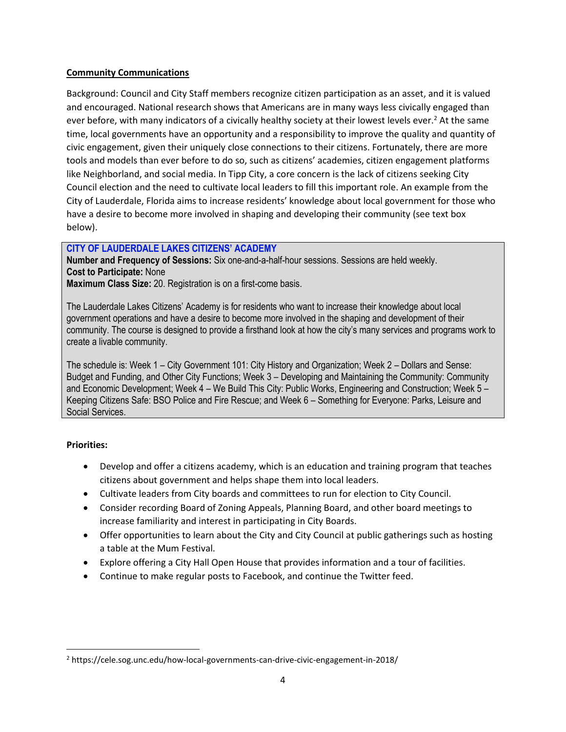### **Community Communications**

Background: Council and City Staff members recognize citizen participation as an asset, and it is valued and encouraged. National research shows that Americans are in many ways less civically engaged than ever before, with many indicators of a civically healthy society at their lowest levels ever.<sup>2</sup> At the same time, local governments have an opportunity and a responsibility to improve the quality and quantity of civic engagement, given their uniquely close connections to their citizens. Fortunately, there are more tools and models than ever before to do so, such as citizens' academies, citizen engagement platforms like Neighborland, and social media. In Tipp City, a core concern is the lack of citizens seeking City Council election and the need to cultivate local leaders to fill this important role. An example from the City of Lauderdale, Florida aims to increase residents' knowledge about local government for those who have a desire to become more involved in shaping and developing their community (see text box below).

# **CITY OF LAUDERDALE LAKES CITIZENS' ACADEMY**

**Number and Frequency of Sessions:** Six one-and-a-half-hour sessions. Sessions are held weekly. **Cost to Participate:** None

**Maximum Class Size:** 20. Registration is on a first-come basis.

The Lauderdale Lakes Citizens' Academy is for residents who want to increase their knowledge about local government operations and have a desire to become more involved in the shaping and development of their community. The course is designed to provide a firsthand look at how the city's many services and programs work to create a livable community.

The schedule is: Week 1 – City Government 101: City History and Organization; Week 2 – Dollars and Sense: Budget and Funding, and Other City Functions; Week 3 – Developing and Maintaining the Community: Community and Economic Development; Week 4 – We Build This City: Public Works, Engineering and Construction; Week 5 – Keeping Citizens Safe: BSO Police and Fire Rescue; and Week 6 – Something for Everyone: Parks, Leisure and Social Services.

# **Priorities:**

 $\overline{\phantom{a}}$ 

- Develop and offer a citizens academy, which is an education and training program that teaches citizens about government and helps shape them into local leaders.
- Cultivate leaders from City boards and committees to run for election to City Council.
- Consider recording Board of Zoning Appeals, Planning Board, and other board meetings to increase familiarity and interest in participating in City Boards.
- Offer opportunities to learn about the City and City Council at public gatherings such as hosting a table at the Mum Festival.
- Explore offering a City Hall Open House that provides information and a tour of facilities.
- Continue to make regular posts to Facebook, and continue the Twitter feed.

<sup>2</sup> https://cele.sog.unc.edu/how-local-governments-can-drive-civic-engagement-in-2018/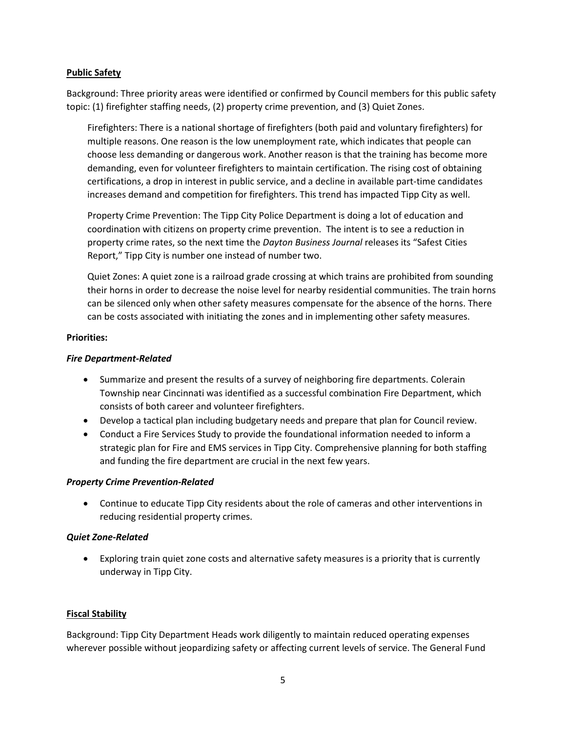### **Public Safety**

Background: Three priority areas were identified or confirmed by Council members for this public safety topic: (1) firefighter staffing needs, (2) property crime prevention, and (3) Quiet Zones.

Firefighters: There is a national shortage of firefighters (both paid and voluntary firefighters) for multiple reasons. One reason is the low unemployment rate, which indicates that people can choose less demanding or dangerous work. Another reason is that the training has become more demanding, even for volunteer firefighters to maintain certification. The rising cost of obtaining certifications, a drop in interest in public service, and a decline in available part-time candidates increases demand and competition for firefighters. This trend has impacted Tipp City as well.

Property Crime Prevention: The Tipp City Police Department is doing a lot of education and coordination with citizens on property crime prevention. The intent is to see a reduction in property crime rates, so the next time the *Dayton Business Journal* releases its "Safest Cities Report," Tipp City is number one instead of number two.

Quiet Zones: A quiet zone is a railroad grade crossing at which trains are prohibited from sounding their horns in order to decrease the noise level for nearby residential communities. The train horns can be silenced only when other safety measures compensate for the absence of the horns. There can be costs associated with initiating the zones and in implementing other safety measures.

### **Priorities:**

### *Fire Department-Related*

- Summarize and present the results of a survey of neighboring fire departments. Colerain Township near Cincinnati was identified as a successful combination Fire Department, which consists of both career and volunteer firefighters.
- Develop a tactical plan including budgetary needs and prepare that plan for Council review.
- Conduct a Fire Services Study to provide the foundational information needed to inform a strategic plan for Fire and EMS services in Tipp City. Comprehensive planning for both staffing and funding the fire department are crucial in the next few years.

### *Property Crime Prevention-Related*

 Continue to educate Tipp City residents about the role of cameras and other interventions in reducing residential property crimes.

### *Quiet Zone-Related*

 Exploring train quiet zone costs and alternative safety measures is a priority that is currently underway in Tipp City.

### **Fiscal Stability**

Background: Tipp City Department Heads work diligently to maintain reduced operating expenses wherever possible without jeopardizing safety or affecting current levels of service. The General Fund